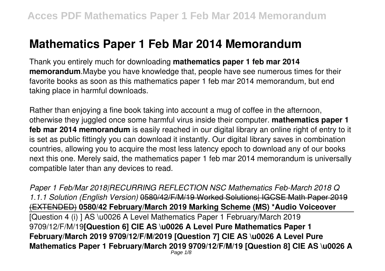## **Mathematics Paper 1 Feb Mar 2014 Memorandum**

Thank you entirely much for downloading **mathematics paper 1 feb mar 2014 memorandum**.Maybe you have knowledge that, people have see numerous times for their favorite books as soon as this mathematics paper 1 feb mar 2014 memorandum, but end taking place in harmful downloads.

Rather than enjoying a fine book taking into account a mug of coffee in the afternoon, otherwise they juggled once some harmful virus inside their computer. **mathematics paper 1 feb mar 2014 memorandum** is easily reached in our digital library an online right of entry to it is set as public fittingly you can download it instantly. Our digital library saves in combination countries, allowing you to acquire the most less latency epoch to download any of our books next this one. Merely said, the mathematics paper 1 feb mar 2014 memorandum is universally compatible later than any devices to read.

*Paper 1 Feb/Mar 2018|RECURRING REFLECTION NSC Mathematics Feb-March 2018 Q 1.1.1 Solution (English Version)* 0580/42/F/M/19 Worked Solutions| IGCSE Math Paper 2019 (EXTENDED) **0580/42 February/March 2019 Marking Scheme (MS) \*Audio Voiceover** [Question 4 (i) ] AS \u0026 A Level Mathematics Paper 1 February/March 2019 9709/12/F/M/19**[Question 6] CIE AS \u0026 A Level Pure Mathematics Paper 1 February/March 2019 9709/12/F/M/2019 [Question 7] CIE AS \u0026 A Level Pure Mathematics Paper 1 February/March 2019 9709/12/F/M/19 [Question 8] CIE AS \u0026 A** Page  $1/8$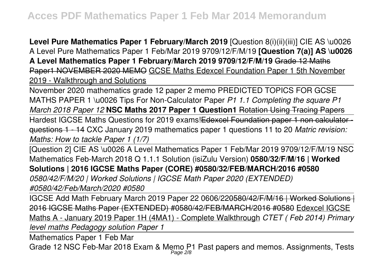**Level Pure Mathematics Paper 1 February/March 2019** [Question 8(i)(ii)(iii)] CIE AS \u0026 A Level Pure Mathematics Paper 1 Feb/Mar 2019 9709/12/F/M/19 **[Question 7(a)] AS \u0026 A Level Mathematics Paper 1 February/March 2019 9709/12/F/M/19** Grade 12 Maths Paper1 NOVEMBER 2020 MEMO GCSE Maths Edexcel Foundation Paper 1 5th November 2019 - Walkthrough and Solutions

November 2020 mathematics grade 12 paper 2 memo PREDICTED TOPICS FOR GCSE MATHS PAPER 1 \u0026 Tips For Non-Calculator Paper *P1 1.1 Completing the square P1 March 2018 Paper 12* **NSC Maths 2017 Paper 1 Question1** Rotation Using Tracing Papers

Hardest IGCSE Maths Questions for 2019 exams! Edexcel Foundation paper 1 non calculator questions 1 - 14 CXC January 2019 mathematics paper 1 questions 11 to 20 *Matric revision: Maths: How to tackle Paper 1 (1/7)*

[Question 2] CIE AS \u0026 A Level Mathematics Paper 1 Feb/Mar 2019 9709/12/F/M/19 NSC Mathematics Feb-March 2018 Q 1.1.1 Solution (isiZulu Version) **0580/32/F/M/16 | Worked Solutions | 2016 IGCSE Maths Paper (CORE) #0580/32/FEB/MARCH/2016 #0580** *0580/42/F/M/20 | Worked Solutions | IGCSE Math Paper 2020 (EXTENDED) #0580/42/Feb/March/2020 #0580*

IGCSE Add Math February March 2019 Paper 22 0606/220580/42/F/M/16 | Worked Solutions | 2016 IGCSE Maths Paper (EXTENDED) #0580/42/FEB/MARCH/2016 #0580 Edexcel IGCSE Maths A - January 2019 Paper 1H (4MA1) - Complete Walkthrough *CTET ( Feb 2014) Primary level maths Pedagogy solution Paper 1*

Mathematics Paper 1 Feb Mar

Grade 12 NSC Feb-Mar 2018 Exam & Memo P1 Past papers and memos. Assignments, Tests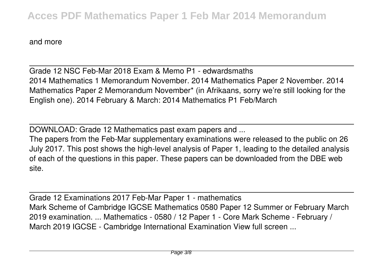and more

Grade 12 NSC Feb-Mar 2018 Exam & Memo P1 - edwardsmaths 2014 Mathematics 1 Memorandum November. 2014 Mathematics Paper 2 November. 2014 Mathematics Paper 2 Memorandum November\* (in Afrikaans, sorry we're still looking for the English one). 2014 February & March: 2014 Mathematics P1 Feb/March

DOWNLOAD: Grade 12 Mathematics past exam papers and ...

The papers from the Feb-Mar supplementary examinations were released to the public on 26 July 2017. This post shows the high-level analysis of Paper 1, leading to the detailed analysis of each of the questions in this paper. These papers can be downloaded from the DBE web site.

Grade 12 Examinations 2017 Feb-Mar Paper 1 - mathematics Mark Scheme of Cambridge IGCSE Mathematics 0580 Paper 12 Summer or February March 2019 examination. ... Mathematics - 0580 / 12 Paper 1 - Core Mark Scheme - February / March 2019 IGCSE - Cambridge International Examination View full screen ...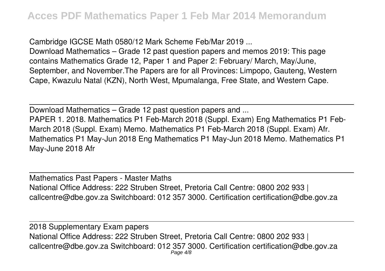Cambridge IGCSE Math 0580/12 Mark Scheme Feb/Mar 2019 ...

Download Mathematics – Grade 12 past question papers and memos 2019: This page contains Mathematics Grade 12, Paper 1 and Paper 2: February/ March, May/June, September, and November.The Papers are for all Provinces: Limpopo, Gauteng, Western Cape, Kwazulu Natal (KZN), North West, Mpumalanga, Free State, and Western Cape.

Download Mathematics – Grade 12 past question papers and ... PAPER 1. 2018. Mathematics P1 Feb-March 2018 (Suppl. Exam) Eng Mathematics P1 Feb-March 2018 (Suppl. Exam) Memo. Mathematics P1 Feb-March 2018 (Suppl. Exam) Afr. Mathematics P1 May-Jun 2018 Eng Mathematics P1 May-Jun 2018 Memo. Mathematics P1 May-June 2018 Afr

Mathematics Past Papers - Master Maths National Office Address: 222 Struben Street, Pretoria Call Centre: 0800 202 933 | callcentre@dbe.gov.za Switchboard: 012 357 3000. Certification certification@dbe.gov.za

2018 Supplementary Exam papers National Office Address: 222 Struben Street, Pretoria Call Centre: 0800 202 933 | callcentre@dbe.gov.za Switchboard: 012 357 3000. Certification certification@dbe.gov.za Page 4/8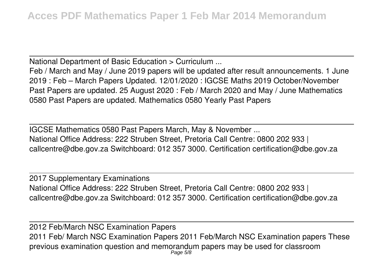National Department of Basic Education > Curriculum ...

Feb / March and May / June 2019 papers will be updated after result announcements. 1 June 2019 : Feb – March Papers Updated. 12/01/2020 : IGCSE Maths 2019 October/November Past Papers are updated. 25 August 2020 : Feb / March 2020 and May / June Mathematics 0580 Past Papers are updated. Mathematics 0580 Yearly Past Papers

IGCSE Mathematics 0580 Past Papers March, May & November ... National Office Address: 222 Struben Street, Pretoria Call Centre: 0800 202 933 | callcentre@dbe.gov.za Switchboard: 012 357 3000. Certification certification@dbe.gov.za

2017 Supplementary Examinations National Office Address: 222 Struben Street, Pretoria Call Centre: 0800 202 933 | callcentre@dbe.gov.za Switchboard: 012 357 3000. Certification certification@dbe.gov.za

2012 Feb/March NSC Examination Papers 2011 Feb/ March NSC Examination Papers 2011 Feb/March NSC Examination papers These previous examination question and memorandum papers may be used for classroom Page 5/8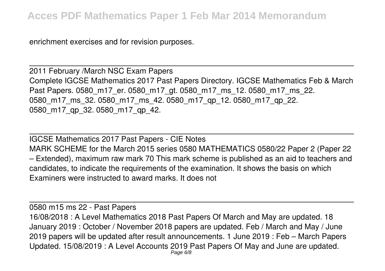enrichment exercises and for revision purposes.

2011 February /March NSC Exam Papers Complete IGCSE Mathematics 2017 Past Papers Directory. IGCSE Mathematics Feb & March Past Papers. 0580\_m17\_er. 0580\_m17\_gt. 0580\_m17\_ms\_12. 0580\_m17\_ms\_22. 0580 m17 ms 32. 0580 m17 ms 42. 0580 m17 qp 12. 0580 m17 qp 22. 0580\_m17\_qp\_32. 0580\_m17\_qp\_42.

IGCSE Mathematics 2017 Past Papers - CIE Notes MARK SCHEME for the March 2015 series 0580 MATHEMATICS 0580/22 Paper 2 (Paper 22 – Extended), maximum raw mark 70 This mark scheme is published as an aid to teachers and candidates, to indicate the requirements of the examination. It shows the basis on which Examiners were instructed to award marks. It does not

0580 m15 ms 22 - Past Papers 16/08/2018 : A Level Mathematics 2018 Past Papers Of March and May are updated. 18 January 2019 : October / November 2018 papers are updated. Feb / March and May / June 2019 papers will be updated after result announcements. 1 June 2019 : Feb – March Papers Updated. 15/08/2019 : A Level Accounts 2019 Past Papers Of May and June are updated. Page 6/8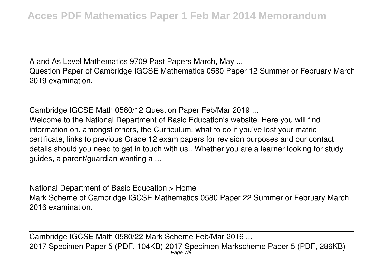A and As Level Mathematics 9709 Past Papers March, May ... Question Paper of Cambridge IGCSE Mathematics 0580 Paper 12 Summer or February March 2019 examination.

Cambridge IGCSE Math 0580/12 Question Paper Feb/Mar 2019 ... Welcome to the National Department of Basic Education's website. Here you will find information on, amongst others, the Curriculum, what to do if you've lost your matric certificate, links to previous Grade 12 exam papers for revision purposes and our contact details should you need to get in touch with us.. Whether you are a learner looking for study guides, a parent/guardian wanting a ...

National Department of Basic Education > Home Mark Scheme of Cambridge IGCSE Mathematics 0580 Paper 22 Summer or February March 2016 examination.

Cambridge IGCSE Math 0580/22 Mark Scheme Feb/Mar 2016 ... 2017 Specimen Paper 5 (PDF, 104KB) 2017 Specimen Markscheme Paper 5 (PDF, 286KB) Page 7/8